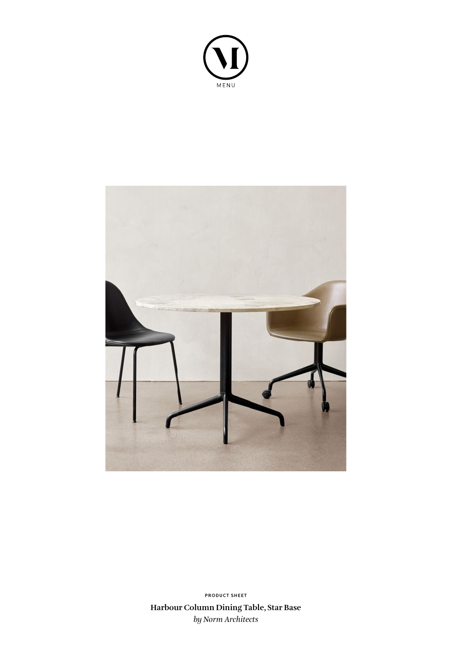



**Harbour Column Dining Table, Star Base** *by Norm Architects* **PRODUCT SHEET**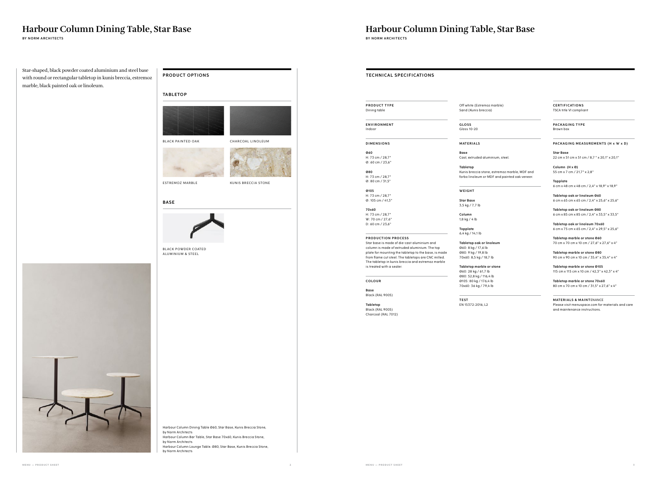## **Harbour Column Dining Table, Star Base**

**BY NORM ARCHITECTS** BY NORM ARCHITECTS **BY NORM ARCHITECTS** 

**Harbour Column Dining Table, Star Base**

**PRODUCT TYPE** Dining table

**ENVIRONMENT** Indoor

**D I M E N S I O N S** 

**Ø60** H: 73 cm / 28,7" Ø: 60 cm / 23,6"

**Ø80**

H: 73 cm / 28,7" Ø: 80 cm / 31,5"

**Ø105** H: 73 cm / 28,7" Ø: 105 cm / 41,3"

**70x60** H: 73 cm / 28,7" W: 70 cm / 27,6" D: 60 cm / 23,6"

**TECHNICAL SPECIFICATIONS** 

## **PRODUCTION PROCESS**

Star base is made of die-cast aluminium and column is made of extruded aluminium. The top plate for mounting the tabletop to the base, is made from flame cut steel. The tabletops are CNC milled. The tabletop in kunis breccia and estremoz marble is treated with a sealer.

**COLOUR**

**Base**  Black (RAL 9005)

**Tabletop** Black (RAL 9005) Charcoal (RAL 7012) Off white (Estremoz marble) Sand (Kunis breccia)

**GLOSS**

Gloss 10-20

**M AT E R I A LS**

Cast, extruded aluminium, steel.

**Base Tabletop**

Kunis breccia stone, estremoz marble, MDF and forbo linoleum or MDF and painted oak veneer.

**W E I G H T** 

**Star Base**

3,5 kg / 7,7 lb **Column** 1,8 kg / 4 lb

**Topplate** 6,4 kg / 14,1 lb

> **MATERIALS & MAINTENANCE** Please visit menuspace.com for materials and care and maintenance instructions.

**Tabletop oak or linoleum** Ø60: 8 kg / 17,6 lb Ø80: 9 kg / 19,8 lb 70x60: 8,5 kg / 18,7 lb

**Tabletop marble or stone** Ø60: 28 kg / 61,7 lb Ø80: 52,8 kg / 116,4 lb Ø105: 80 kg / 176,4 lb 70x60: 36 kg / 79,4 lb

> **TEST** EN 15372:2016, L2

**C E RT I F I CAT I O N S** TSCA title VI compliant

**PACKAGING TYPE** Brown box

#### **PACKAGING MEASUREMENTS (H x W x D)**



**Star Base** 22 cm x 51 cm x 51 cm / 8,7 " x 20,1" x 20,1"

**Column (H x Ø)** 55 cm x 7 cm / 21,7" x 2,8"

**Topplate** 6 cm x 48 cm x 48 cm / 2,4" x 18,9" x 18,9"

**Tabletop oak or linoleum Ø60** 6 cm x 65 cm x 65 cm / 2,4" x 25,6" x 25,6"

**Tabletop oak or linoleum Ø80** 6 cm x 85 cm x 85 cm / 2,4" x 33,5" x 33,5"

**Tabletop oak or linoleum 70x60** 6 cm x 75 cm x 65 cm / 2,4" x 29,5" x 25,6"

**Tabletop marble or stone Ø60** 70 cm x 70 cm x 10 cm / 27,6" x 27,6" x 4"

**Tabletop marble or stone Ø80**  90 cm x 90 cm x 10 cm / 35,4" x 35,4" x 4"

**Tabletop marble or stone Ø105** 115 cm x 115 cm x 10 cm / 42,3" x 42,3" x 4"

**Tabletop marble or stone 70x60** 80 cm x 70 cm x 10 cm / 31,5" x 27,6" x 4"